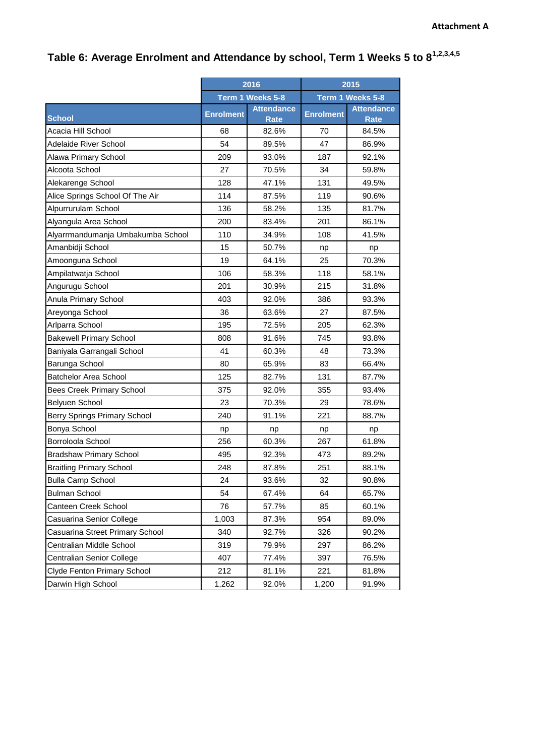## **Table 6: Average Enrolment and Attendance by school, Term 1 Weeks 5 to 81,2,3,4,5**

|                                   | 2016             |                                  | 2015             |                                  |
|-----------------------------------|------------------|----------------------------------|------------------|----------------------------------|
|                                   |                  | Term 1 Weeks 5-8                 |                  | Term 1 Weeks 5-8                 |
| <b>School</b>                     | <b>Enrolment</b> | <b>Attendance</b><br><b>Rate</b> | <b>Enrolment</b> | <b>Attendance</b><br><b>Rate</b> |
| Acacia Hill School                | 68               | 82.6%                            | 70               | 84.5%                            |
| <b>Adelaide River School</b>      | 54               | 89.5%                            | 47               | 86.9%                            |
| Alawa Primary School              | 209              | 93.0%                            | 187              | 92.1%                            |
| Alcoota School                    | 27               | 70.5%                            | 34               | 59.8%                            |
| Alekarenge School                 | 128              | 47.1%                            | 131              | 49.5%                            |
| Alice Springs School Of The Air   | 114              | 87.5%                            | 119              | 90.6%                            |
| Alpurrurulam School               | 136              | 58.2%                            | 135              | 81.7%                            |
| Alyangula Area School             | 200              | 83.4%                            | 201              | 86.1%                            |
| Alyarrmandumanja Umbakumba School | 110              | 34.9%                            | 108              | 41.5%                            |
| Amanbidji School                  | 15               | 50.7%                            | np               | np                               |
| Amoonguna School                  | 19               | 64.1%                            | 25               | 70.3%                            |
| Ampilatwatja School               | 106              | 58.3%                            | 118              | 58.1%                            |
| Angurugu School                   | 201              | 30.9%                            | 215              | 31.8%                            |
| Anula Primary School              | 403              | 92.0%                            | 386              | 93.3%                            |
| Areyonga School                   | 36               | 63.6%                            | 27               | 87.5%                            |
| Arlparra School                   | 195              | 72.5%                            | 205              | 62.3%                            |
| <b>Bakewell Primary School</b>    | 808              | 91.6%                            | 745              | 93.8%                            |
| Baniyala Garrangali School        | 41               | 60.3%                            | 48               | 73.3%                            |
| Barunga School                    | 80               | 65.9%                            | 83               | 66.4%                            |
| <b>Batchelor Area School</b>      | 125              | 82.7%                            | 131              | 87.7%                            |
| <b>Bees Creek Primary School</b>  | 375              | 92.0%                            | 355              | 93.4%                            |
| Belyuen School                    | 23               | 70.3%                            | 29               | 78.6%                            |
| Berry Springs Primary School      | 240              | 91.1%                            | 221              | 88.7%                            |
| Bonya School                      | np               | np                               | np               | np                               |
| Borroloola School                 | 256              | 60.3%                            | 267              | 61.8%                            |
| <b>Bradshaw Primary School</b>    | 495              | 92.3%                            | 473              | 89.2%                            |
| <b>Braitling Primary School</b>   | 248              | 87.8%                            | 251              | 88.1%                            |
| <b>Bulla Camp School</b>          | 24               | 93.6%                            | 32               | 90.8%                            |
| <b>Bulman School</b>              | 54               | 67.4%                            | 64               | 65.7%                            |
| Canteen Creek School              | 76               | 57.7%                            | 85               | 60.1%                            |
| Casuarina Senior College          | 1,003            | 87.3%                            | 954              | 89.0%                            |
| Casuarina Street Primary School   | 340              | 92.7%                            | 326              | 90.2%                            |
| Centralian Middle School          | 319              | 79.9%                            | 297              | 86.2%                            |
| Centralian Senior College         | 407              | 77.4%                            | 397              | 76.5%                            |
| Clyde Fenton Primary School       | 212              | 81.1%                            | 221              | 81.8%                            |
| Darwin High School                | 1,262            | 92.0%                            | 1,200            | 91.9%                            |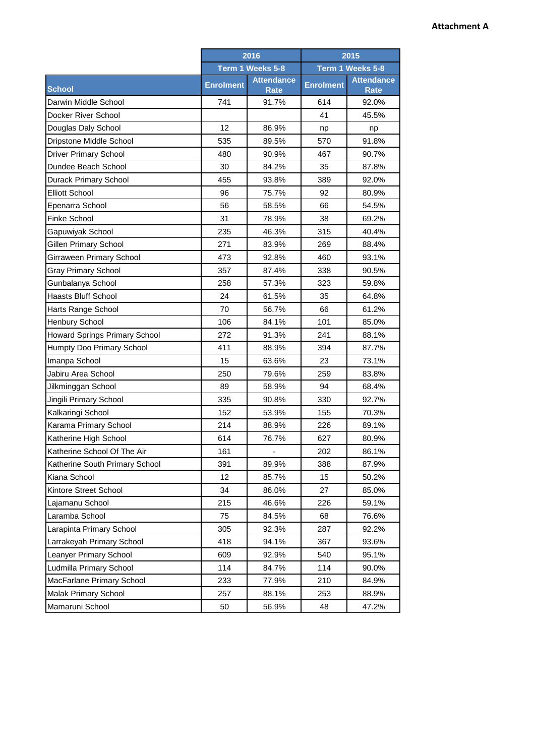|                                | 2016             |                                  | 2015             |                                  |
|--------------------------------|------------------|----------------------------------|------------------|----------------------------------|
|                                | Term 1 Weeks 5-8 |                                  | Term 1 Weeks 5-8 |                                  |
| <b>School</b>                  | <b>Enrolment</b> | <b>Attendance</b><br><b>Rate</b> | <b>Enrolment</b> | <b>Attendance</b><br><b>Rate</b> |
| Darwin Middle School           | 741              | 91.7%                            | 614              | 92.0%                            |
| Docker River School            |                  |                                  | 41               | 45.5%                            |
| Douglas Daly School            | 12               | 86.9%                            | np               | np                               |
| Dripstone Middle School        | 535              | 89.5%                            | 570              | 91.8%                            |
| <b>Driver Primary School</b>   | 480              | 90.9%                            | 467              | 90.7%                            |
| Dundee Beach School            | 30               | 84.2%                            | 35               | 87.8%                            |
| <b>Durack Primary School</b>   | 455              | 93.8%                            | 389              | 92.0%                            |
| <b>Elliott School</b>          | 96               | 75.7%                            | 92               | 80.9%                            |
| Epenarra School                | 56               | 58.5%                            | 66               | 54.5%                            |
| <b>Finke School</b>            | 31               | 78.9%                            | 38               | 69.2%                            |
| Gapuwiyak School               | 235              | 46.3%                            | 315              | 40.4%                            |
| <b>Gillen Primary School</b>   | 271              | 83.9%                            | 269              | 88.4%                            |
| Girraween Primary School       | 473              | 92.8%                            | 460              | 93.1%                            |
| <b>Gray Primary School</b>     | 357              | 87.4%                            | 338              | 90.5%                            |
| Gunbalanya School              | 258              | 57.3%                            | 323              | 59.8%                            |
| <b>Haasts Bluff School</b>     | 24               | 61.5%                            | 35               | 64.8%                            |
| Harts Range School             | 70               | 56.7%                            | 66               | 61.2%                            |
| Henbury School                 | 106              | 84.1%                            | 101              | 85.0%                            |
| Howard Springs Primary School  | 272              | 91.3%                            | 241              | 88.1%                            |
| Humpty Doo Primary School      | 411              | 88.9%                            | 394              | 87.7%                            |
| Imanpa School                  | 15               | 63.6%                            | 23               | 73.1%                            |
| Jabiru Area School             | 250              | 79.6%                            | 259              | 83.8%                            |
| Jilkminggan School             | 89               | 58.9%                            | 94               | 68.4%                            |
| Jingili Primary School         | 335              | 90.8%                            | 330              | 92.7%                            |
| Kalkaringi School              | 152              | 53.9%                            | 155              | 70.3%                            |
| Karama Primary School          | 214              | 88.9%                            | 226              | 89.1%                            |
| Katherine High School          | 614              | 76.7%                            | 627              | 80.9%                            |
| Katherine School Of The Air    | 161              |                                  | 202              | 86.1%                            |
| Katherine South Primary School | 391              | 89.9%                            | 388              | 87.9%                            |
| Kiana School                   | 12               | 85.7%                            | 15               | 50.2%                            |
| Kintore Street School          | 34               | 86.0%                            | 27               | 85.0%                            |
| Lajamanu School                | 215              | 46.6%                            | 226              | 59.1%                            |
| Laramba School                 | 75               | 84.5%                            | 68               | 76.6%                            |
| Larapinta Primary School       | 305              | 92.3%                            | 287              | 92.2%                            |
| Larrakeyah Primary School      | 418              | 94.1%                            | 367              | 93.6%                            |
| Leanyer Primary School         | 609              | 92.9%                            | 540              | 95.1%                            |
| Ludmilla Primary School        | 114              | 84.7%                            | 114              | 90.0%                            |
| MacFarlane Primary School      | 233              | 77.9%                            | 210              | 84.9%                            |
| Malak Primary School           | 257              | 88.1%                            | 253              | 88.9%                            |
| Mamaruni School                | 50               | 56.9%                            | 48               | 47.2%                            |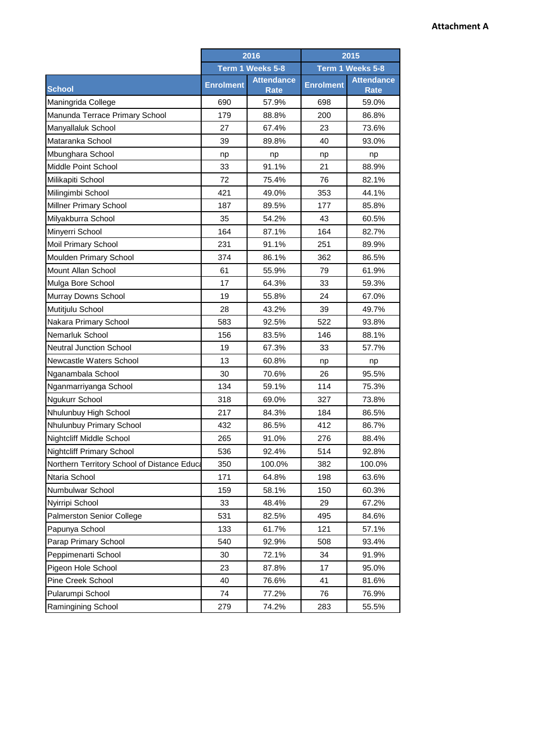|                                             | 2016             |                                  | 2015             |                                  |
|---------------------------------------------|------------------|----------------------------------|------------------|----------------------------------|
|                                             |                  | Term 1 Weeks 5-8                 |                  | Term 1 Weeks 5-8                 |
| <b>School</b>                               | <b>Enrolment</b> | <b>Attendance</b><br><b>Rate</b> | <b>Enrolment</b> | <b>Attendance</b><br><b>Rate</b> |
| Maningrida College                          | 690              | 57.9%                            | 698              | 59.0%                            |
| Manunda Terrace Primary School              | 179              | 88.8%                            | 200              | 86.8%                            |
| Manyallaluk School                          | 27               | 67.4%                            | 23               | 73.6%                            |
| Mataranka School                            | 39               | 89.8%                            | 40               | 93.0%                            |
| Mbunghara School                            | np               | np                               | np               | np                               |
| Middle Point School                         | 33               | 91.1%                            | 21               | 88.9%                            |
| Milikapiti School                           | 72               | 75.4%                            | 76               | 82.1%                            |
| Milingimbi School                           | 421              | 49.0%                            | 353              | 44.1%                            |
| Millner Primary School                      | 187              | 89.5%                            | 177              | 85.8%                            |
| Milyakburra School                          | 35               | 54.2%                            | 43               | 60.5%                            |
| Minyerri School                             | 164              | 87.1%                            | 164              | 82.7%                            |
| Moil Primary School                         | 231              | 91.1%                            | 251              | 89.9%                            |
| Moulden Primary School                      | 374              | 86.1%                            | 362              | 86.5%                            |
| Mount Allan School                          | 61               | 55.9%                            | 79               | 61.9%                            |
| Mulga Bore School                           | 17               | 64.3%                            | 33               | 59.3%                            |
| Murray Downs School                         | 19               | 55.8%                            | 24               | 67.0%                            |
| Mutitjulu School                            | 28               | 43.2%                            | 39               | 49.7%                            |
| Nakara Primary School                       | 583              | 92.5%                            | 522              | 93.8%                            |
| Nemarluk School                             | 156              | 83.5%                            | 146              | 88.1%                            |
| <b>Neutral Junction School</b>              | 19               | 67.3%                            | 33               | 57.7%                            |
| Newcastle Waters School                     | 13               | 60.8%                            | np               | np                               |
| Nganambala School                           | 30               | 70.6%                            | 26               | 95.5%                            |
| Nganmarriyanga School                       | 134              | 59.1%                            | 114              | 75.3%                            |
| Ngukurr School                              | 318              | 69.0%                            | 327              | 73.8%                            |
| Nhulunbuy High School                       | 217              | 84.3%                            | 184              | 86.5%                            |
| Nhulunbuy Primary School                    | 432              | 86.5%                            | 412              | 86.7%                            |
| Nightcliff Middle School                    | 265              | 91.0%                            | 276              | 88.4%                            |
| <b>Nightcliff Primary School</b>            | 536              | 92.4%                            | 514              | 92.8%                            |
| Northern Territory School of Distance Educa | 350              | 100.0%                           | 382              | 100.0%                           |
| Ntaria School                               | 171              | 64.8%                            | 198              | 63.6%                            |
| Numbulwar School                            | 159              | 58.1%                            | 150              | 60.3%                            |
| Nyirripi School                             | 33               | 48.4%                            | 29               | 67.2%                            |
| Palmerston Senior College                   | 531              | 82.5%                            | 495              | 84.6%                            |
| Papunya School                              | 133              | 61.7%                            | 121              | 57.1%                            |
| Parap Primary School                        | 540              | 92.9%                            | 508              | 93.4%                            |
| Peppimenarti School                         | 30               | 72.1%                            | 34               | 91.9%                            |
| Pigeon Hole School                          | 23               | 87.8%                            | 17               | 95.0%                            |
| Pine Creek School                           | 40               | 76.6%                            | 41               | 81.6%                            |
| Pularumpi School                            | 74               | 77.2%                            | 76               | 76.9%                            |
| Ramingining School                          | 279              | 74.2%                            | 283              | 55.5%                            |